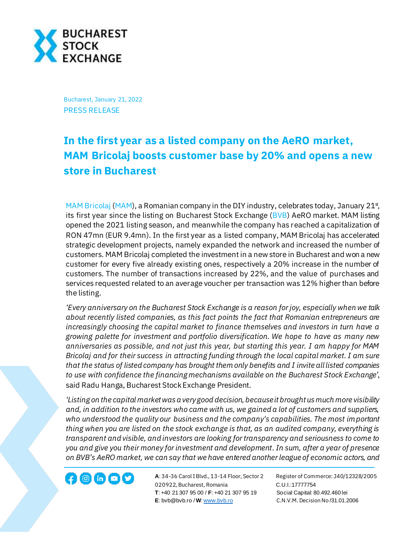

Bucharest, January 21, 2022 PRESS RELEASE

## **In the first year as a listed company on the AeRO market, MAM Bricolaj boosts customer base by 20% and opens a new store in Bucharest**

[MAM Bricolaj](https://webshop.mam-bricolaj.ro/) [\(MAM](https://bvb.ro/FinancialInstruments/Details/FinancialInstrumentsDetails.aspx?s=mam)), a Romanian company in the DIY industry, celebrates today, January 21 $\frac{1}{3}$ , its first year since the listing on Bucharest Stock Exchange [\(BVB](https://bvb.ro/FinancialInstruments/Details/FinancialInstrumentsDetails.aspx?s=BVB)) AeRO market. MAM listing opened the 2021 listing season, and meanwhile the company has reached a capitalization of RON 47mn (EUR 9.4mn). In the first year as a listed company, MAM Bricolaj has accelerated strategic development projects, namely expanded the network and increased the number of customers. MAM Bricolaj completed the investment in a new store in Bucharest and won a new customer for every five already existing ones, respectively a 20% increase in the number of customers. The number of transactions increased by 22%, and the value of purchases and services requested related to an average voucher per transaction was 12% higher than before the listing.

*'Every anniversary on the Bucharest Stock Exchange is a reason for joy, especially when we talk about recently listed companies, as this fact points the fact that Romanian entrepreneurs are increasingly choosing the capital market to finance themselves and investors in turn have a growing palette for investment and portfolio diversification. We hope to have as many new anniversaries as possible, and not just this year, but starting this year. I am happy for MAM Bricolaj and for their success in attracting funding through the local capital market. I am sure that the status of listed company has brought them only benefits and I invite all listed companies to use with confidence the financing mechanisms available on the Bucharest Stock Exchange'*, said Radu Hanga, Bucharest Stock Exchange President.

*'Listing on the capital market was a very good decision, because it brought us much more visibility and, in addition to the investors who came with us, we gained a lot of customers and suppliers, who understood the quality our business and the company's capabilities. The most important thing when you are listed on the stock exchange is that, as an audited company, everything is transparent and visible, and investors are looking for transparency and seriousness to come to you and give you their money for investment and development. In sum, after a year of presence on BVB's AeRO market, we can say that we have entered another league of economic actors, and* 

**A**: 34-36 Carol I Blvd., 13-14 Floor, Sector 2 Register of Commerce: J40/12328/2005 **1200 CD CD CONSECTED** A: 34-36 Carol I Blvd., 13-14 Floor, Sector 2 Register of Comr<br>020922, Bucharest, Romania C.U.I.:17777754  **T**: +40 21 307 95 00 / **F**: +40 21 307 95 19 Social Capital: 80.492.460 lei **E**: bvb@bvb.ro / **W**[: www.bvb.ro](http://www.bvb.ro/) C.N.V.M. Decision No /31.01.2006